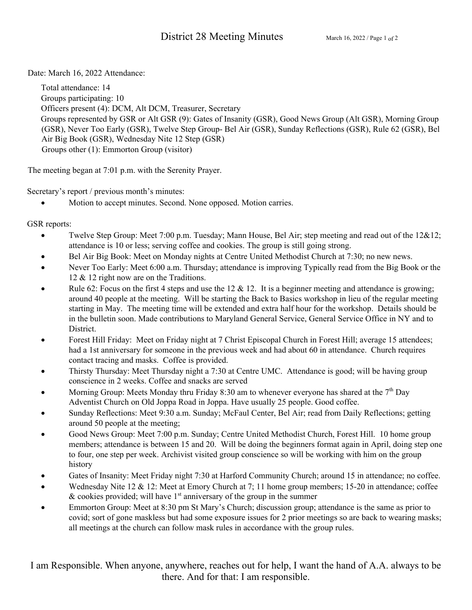Date: March 16, 2022 Attendance:

Total attendance: 14 Groups participating: 10 Officers present (4): DCM, Alt DCM, Treasurer, Secretary Groups represented by GSR or Alt GSR (9): Gates of Insanity (GSR), Good News Group (Alt GSR), Morning Group (GSR), Never Too Early (GSR), Twelve Step Group- Bel Air (GSR), Sunday Reflections (GSR), Rule 62 (GSR), Bel Air Big Book (GSR), Wednesday Nite 12 Step (GSR) Groups other (1): Emmorton Group (visitor)

The meeting began at 7:01 p.m. with the Serenity Prayer.

Secretary's report / previous month's minutes:

Motion to accept minutes. Second. None opposed. Motion carries.

GSR reports:

- Twelve Step Group: Meet 7:00 p.m. Tuesday; Mann House, Bel Air; step meeting and read out of the 12&12; attendance is 10 or less; serving coffee and cookies. The group is still going strong.
- Bel Air Big Book: Meet on Monday nights at Centre United Methodist Church at 7:30; no new news.
- Never Too Early: Meet 6:00 a.m. Thursday; attendance is improving Typically read from the Big Book or the 12 & 12 right now are on the Traditions.
- Rule 62: Focus on the first 4 steps and use the 12  $\&$  12. It is a beginner meeting and attendance is growing; around 40 people at the meeting. Will be starting the Back to Basics workshop in lieu of the regular meeting starting in May. The meeting time will be extended and extra half hour for the workshop. Details should be in the bulletin soon. Made contributions to Maryland General Service, General Service Office in NY and to District.
- Forest Hill Friday: Meet on Friday night at 7 Christ Episcopal Church in Forest Hill; average 15 attendees; had a 1st anniversary for someone in the previous week and had about 60 in attendance. Church requires contact tracing and masks. Coffee is provided.
- Thirsty Thursday: Meet Thursday night a 7:30 at Centre UMC. Attendance is good; will be having group conscience in 2 weeks. Coffee and snacks are served
- Morning Group: Meets Monday thru Friday 8:30 am to whenever everyone has shared at the  $7<sup>th</sup>$  Day Adventist Church on Old Joppa Road in Joppa. Have usually 25 people. Good coffee.
- Sunday Reflections: Meet 9:30 a.m. Sunday; McFaul Center, Bel Air; read from Daily Reflections; getting around 50 people at the meeting;
- Good News Group: Meet 7:00 p.m. Sunday; Centre United Methodist Church, Forest Hill. 10 home group members; attendance is between 15 and 20. Will be doing the beginners format again in April, doing step one to four, one step per week. Archivist visited group conscience so will be working with him on the group history
- Gates of Insanity: Meet Friday night 7:30 at Harford Community Church; around 15 in attendance; no coffee.
- Wednesday Nite 12 & 12: Meet at Emory Church at 7; 11 home group members; 15-20 in attendance; coffee & cookies provided; will have  $1<sup>st</sup>$  anniversary of the group in the summer
- Emmorton Group: Meet at 8:30 pm St Mary's Church; discussion group; attendance is the same as prior to covid; sort of gone maskless but had some exposure issues for 2 prior meetings so are back to wearing masks; all meetings at the church can follow mask rules in accordance with the group rules.

I am Responsible. When anyone, anywhere, reaches out for help, I want the hand of A.A. always to be there. And for that: I am responsible.